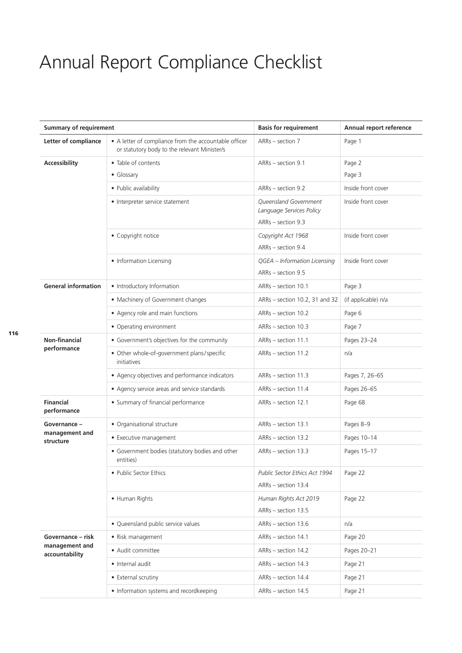## Annual Report Compliance Checklist

| <b>Summary of requirement</b>                         |                                                                                                       | <b>Basis for requirement</b>                         | Annual report reference |
|-------------------------------------------------------|-------------------------------------------------------------------------------------------------------|------------------------------------------------------|-------------------------|
| Letter of compliance                                  | • A letter of compliance from the accountable officer<br>or statutory body to the relevant Minister/s | ARRs - section 7                                     | Page 1                  |
| Accessibility                                         | • Table of contents                                                                                   | ARRs - section 9.1                                   | Page 2                  |
|                                                       | • Glossary                                                                                            |                                                      | Page 3                  |
|                                                       | • Public availability                                                                                 | ARRs - section 9.2                                   | Inside front cover      |
|                                                       | • Interpreter service statement                                                                       | Queensland Government<br>Language Services Policy    | Inside front cover      |
|                                                       |                                                                                                       | ARRs - section 9.3                                   |                         |
|                                                       | • Copyright notice                                                                                    | Copyright Act 1968<br>ARRs - section 9.4             | Inside front cover      |
|                                                       | • Information Licensing                                                                               | QGEA - Information Licensing<br>ARRs - section 9.5   | Inside front cover      |
| <b>General information</b>                            | • Introductory Information                                                                            | ARRs - section 10.1                                  | Page 3                  |
|                                                       | • Machinery of Government changes                                                                     | ARRs - section 10.2, 31 and 32                       | (if applicable) n/a     |
|                                                       | • Agency role and main functions                                                                      | ARRs - section 10.2                                  | Page 6                  |
|                                                       | • Operating environment                                                                               | ARRs - section 10.3                                  | Page 7                  |
| <b>Non-financial</b>                                  | • Government's objectives for the community                                                           | ARRs - section 11.1                                  | Pages 23-24             |
| performance                                           | • Other whole-of-government plans/specific<br>initiatives                                             | ARRs - section 11.2                                  | n/a                     |
|                                                       | • Agency objectives and performance indicators                                                        | ARRs - section 11.3                                  | Pages 7, 26-65          |
|                                                       | • Agency service areas and service standards                                                          | ARRs - section 11.4                                  | Pages 26-65             |
| <b>Financial</b><br>performance                       | • Summary of financial performance                                                                    | ARRs - section 12.1                                  | Page 68                 |
| Governance -<br>management and<br>structure           | • Organisational structure                                                                            | ARRs - section 13.1                                  | Pages 8-9               |
|                                                       | • Executive management                                                                                | ARRs - section 13.2                                  | Pages 10-14             |
|                                                       | • Government bodies (statutory bodies and other<br>entities)                                          | ARRs - section 13.3                                  | Pages 15-17             |
|                                                       | • Public Sector Ethics                                                                                | Public Sector Ethics Act 1994<br>ARRs - section 13.4 | Page 22                 |
|                                                       | • Human Rights                                                                                        | Human Rights Act 2019<br>ARRs - section 13.5         | Page 22                 |
|                                                       | • Queensland public service values                                                                    | ARRs - section 13.6                                  | n/a                     |
| Governance – risk<br>management and<br>accountability | · Risk management                                                                                     | ARRs - section 14.1                                  | Page 20                 |
|                                                       | • Audit committee                                                                                     | ARRs - section 14.2                                  | Pages 20-21             |
|                                                       | · Internal audit                                                                                      | ARRs - section 14.3                                  | Page 21                 |
|                                                       | • External scrutiny                                                                                   | ARRs - section 14.4                                  | Page 21                 |
|                                                       | • Information systems and recordkeeping                                                               | ARRs - section 14.5                                  | Page 21                 |